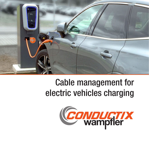

## Cable management for electric vehicles charging

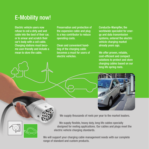## E-Mobility now!

Electric vehicle users now refuse to coil a dirty and wet cable into the boot of their car, or to smear and scratch their car's body with a coil cable. Charging stations must become user-friendly and include a mean to store the cable.

Preservation and protection of the expensive cable and plug is a key contributor to reduce operating costs.

Clean and convenient handling of the charging cable becomes a must for users of electric vehicles.

Conductix-Wampfler, the worldwide specialist for energy and data transmission systems, entered the electric vehicle charging market already years ago.

We offer proven, reliable, cost-efficient and compact solutions to protect and store charging cables based on our long life spring reels.



We supply thousands of reels per year to the market leaders.

We supply flexible, heavy duty, long life cables specially designed for reeling applications. Our cables and plugs meet the electric vehicle charging standards.

We will support your charging cable management needs with our complete range of standard and custom products.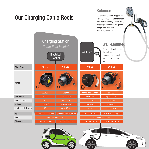